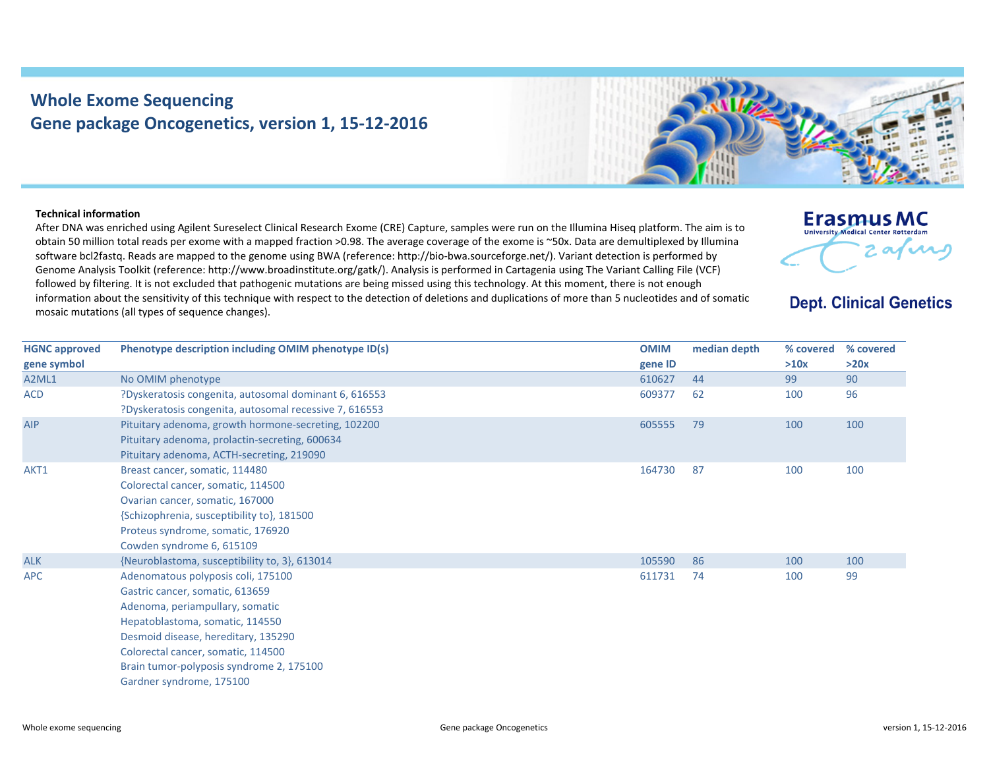## **Whole Exome Sequencing Gene package Oncogenetics, version 1, 15‐12‐2016**



## **Technical information**

After DNA was enriched using Agilent Sureselect Clinical Research Exome (CRE) Capture, samples were run on the Illumina Hiseq platform. The aim is to obtain 50 million total reads per exome with <sup>a</sup> mapped fraction >0.98. The average coverage of the exome is ~50x. Data are demultiplexed by Illumina software bcl2fastq. Reads are mapped to the genome using BWA (reference: http://bio‐bwa.sourceforge.net/). Variant detection is performed by Genome Analysis Toolkit (reference: http://www.broadinstitute.org/gatk/). Analysis is performed in Cartagenia using The Variant Calling File (VCF) followed by filtering. It is not excluded that pathogenic mutations are being missed using this technology. At this moment, there is not enough information about the sensitivity of this technique with respect to the detection of deletions and duplications of more than 5 nucleotides and of somatic mosaic mutations (all types of sequence changes).



## **Dept. Clinical Genetics**

| <b>HGNC</b> approved | Phenotype description including OMIM phenotype ID(s)   | <b>OMIM</b> | median depth | % covered | % covered |
|----------------------|--------------------------------------------------------|-------------|--------------|-----------|-----------|
| gene symbol          |                                                        | gene ID     |              | >10x      | >20x      |
| A2ML1                | No OMIM phenotype                                      | 610627      | 44           | 99        | 90        |
| <b>ACD</b>           | ?Dyskeratosis congenita, autosomal dominant 6, 616553  | 609377      | 62           | 100       | 96        |
|                      | ?Dyskeratosis congenita, autosomal recessive 7, 616553 |             |              |           |           |
| AIP                  | Pituitary adenoma, growth hormone-secreting, 102200    | 605555      | 79           | 100       | 100       |
|                      | Pituitary adenoma, prolactin-secreting, 600634         |             |              |           |           |
|                      | Pituitary adenoma, ACTH-secreting, 219090              |             |              |           |           |
| AKT1                 | Breast cancer, somatic, 114480                         | 164730      | 87           | 100       | 100       |
|                      | Colorectal cancer, somatic, 114500                     |             |              |           |           |
|                      | Ovarian cancer, somatic, 167000                        |             |              |           |           |
|                      | {Schizophrenia, susceptibility to}, 181500             |             |              |           |           |
|                      | Proteus syndrome, somatic, 176920                      |             |              |           |           |
|                      | Cowden syndrome 6, 615109                              |             |              |           |           |
| <b>ALK</b>           | {Neuroblastoma, susceptibility to, 3}, 613014          | 105590      | 86           | 100       | 100       |
| <b>APC</b>           | Adenomatous polyposis coli, 175100                     | 611731      | 74           | 100       | 99        |
|                      | Gastric cancer, somatic, 613659                        |             |              |           |           |
|                      | Adenoma, periampullary, somatic                        |             |              |           |           |
|                      | Hepatoblastoma, somatic, 114550                        |             |              |           |           |
|                      | Desmoid disease, hereditary, 135290                    |             |              |           |           |
|                      | Colorectal cancer, somatic, 114500                     |             |              |           |           |
|                      | Brain tumor-polyposis syndrome 2, 175100               |             |              |           |           |
|                      | Gardner syndrome, 175100                               |             |              |           |           |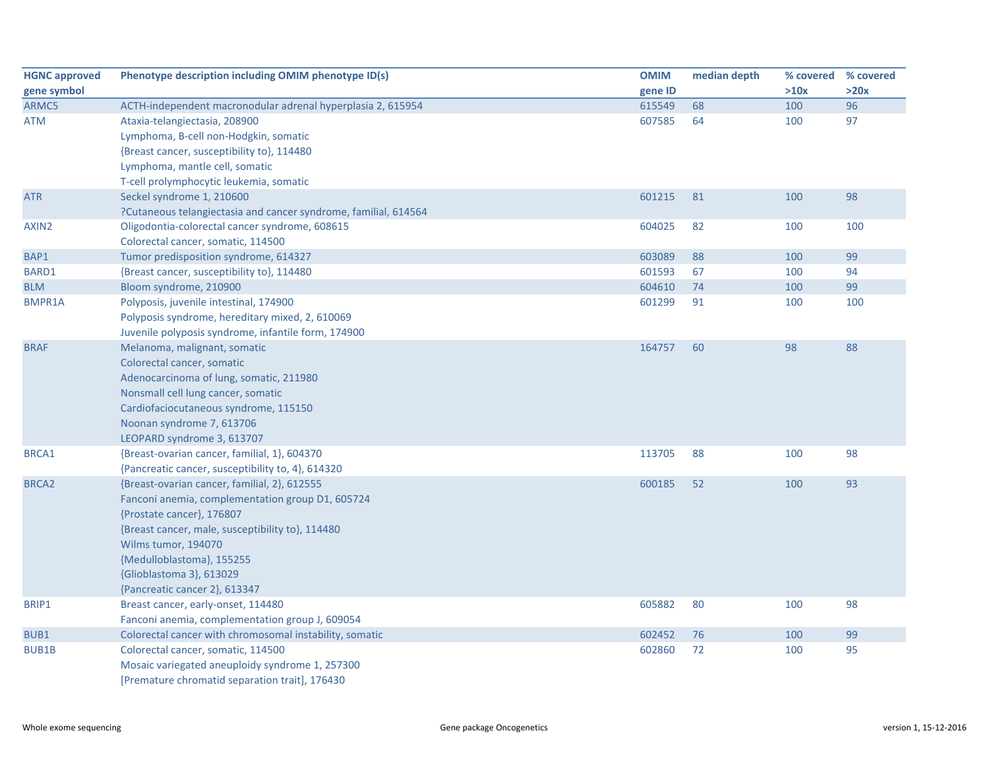| <b>HGNC approved</b> | Phenotype description including OMIM phenotype ID(s)            | <b>OMIM</b> | median depth | % covered | % covered |
|----------------------|-----------------------------------------------------------------|-------------|--------------|-----------|-----------|
| gene symbol          |                                                                 | gene ID     |              | >10x      | >20x      |
| ARMC5                | ACTH-independent macronodular adrenal hyperplasia 2, 615954     | 615549      | 68           | 100       | 96        |
| <b>ATM</b>           | Ataxia-telangiectasia, 208900                                   | 607585      | 64           | 100       | 97        |
|                      | Lymphoma, B-cell non-Hodgkin, somatic                           |             |              |           |           |
|                      | {Breast cancer, susceptibility to}, 114480                      |             |              |           |           |
|                      | Lymphoma, mantle cell, somatic                                  |             |              |           |           |
|                      | T-cell prolymphocytic leukemia, somatic                         |             |              |           |           |
| <b>ATR</b>           | Seckel syndrome 1, 210600                                       | 601215      | 81           | 100       | 98        |
|                      | ?Cutaneous telangiectasia and cancer syndrome, familial, 614564 |             |              |           |           |
| AXIN2                | Oligodontia-colorectal cancer syndrome, 608615                  | 604025      | 82           | 100       | 100       |
|                      | Colorectal cancer, somatic, 114500                              |             |              |           |           |
| BAP1                 | Tumor predisposition syndrome, 614327                           | 603089      | 88           | 100       | 99        |
| BARD1                | {Breast cancer, susceptibility to}, 114480                      | 601593      | 67           | 100       | 94        |
| <b>BLM</b>           | Bloom syndrome, 210900                                          | 604610      | 74           | 100       | 99        |
| <b>BMPR1A</b>        | Polyposis, juvenile intestinal, 174900                          | 601299      | 91           | 100       | 100       |
|                      | Polyposis syndrome, hereditary mixed, 2, 610069                 |             |              |           |           |
|                      | Juvenile polyposis syndrome, infantile form, 174900             |             |              |           |           |
| <b>BRAF</b>          | Melanoma, malignant, somatic                                    | 164757      | 60           | 98        | 88        |
|                      | Colorectal cancer, somatic                                      |             |              |           |           |
|                      | Adenocarcinoma of lung, somatic, 211980                         |             |              |           |           |
|                      | Nonsmall cell lung cancer, somatic                              |             |              |           |           |
|                      | Cardiofaciocutaneous syndrome, 115150                           |             |              |           |           |
|                      | Noonan syndrome 7, 613706                                       |             |              |           |           |
|                      | LEOPARD syndrome 3, 613707                                      |             |              |           |           |
| <b>BRCA1</b>         | {Breast-ovarian cancer, familial, 1}, 604370                    | 113705      | 88           | 100       | 98        |
|                      | {Pancreatic cancer, susceptibility to, 4}, 614320               |             |              |           |           |
| BRCA <sub>2</sub>    | {Breast-ovarian cancer, familial, 2}, 612555                    | 600185      | 52           | 100       | 93        |
|                      | Fanconi anemia, complementation group D1, 605724                |             |              |           |           |
|                      | {Prostate cancer}, 176807                                       |             |              |           |           |
|                      | {Breast cancer, male, susceptibility to}, 114480                |             |              |           |           |
|                      | Wilms tumor, 194070                                             |             |              |           |           |
|                      | {Medulloblastoma}, 155255                                       |             |              |           |           |
|                      | {Glioblastoma 3}, 613029                                        |             |              |           |           |
|                      | {Pancreatic cancer 2}, 613347                                   |             |              |           |           |
| BRIP1                | Breast cancer, early-onset, 114480                              | 605882      | 80           | 100       | 98        |
|                      | Fanconi anemia, complementation group J, 609054                 |             |              |           |           |
| BUB1                 | Colorectal cancer with chromosomal instability, somatic         | 602452      | 76           | 100       | 99        |
| <b>BUB1B</b>         | Colorectal cancer, somatic, 114500                              | 602860      | 72           | 100       | 95        |
|                      | Mosaic variegated aneuploidy syndrome 1, 257300                 |             |              |           |           |
|                      | [Premature chromatid separation trait], 176430                  |             |              |           |           |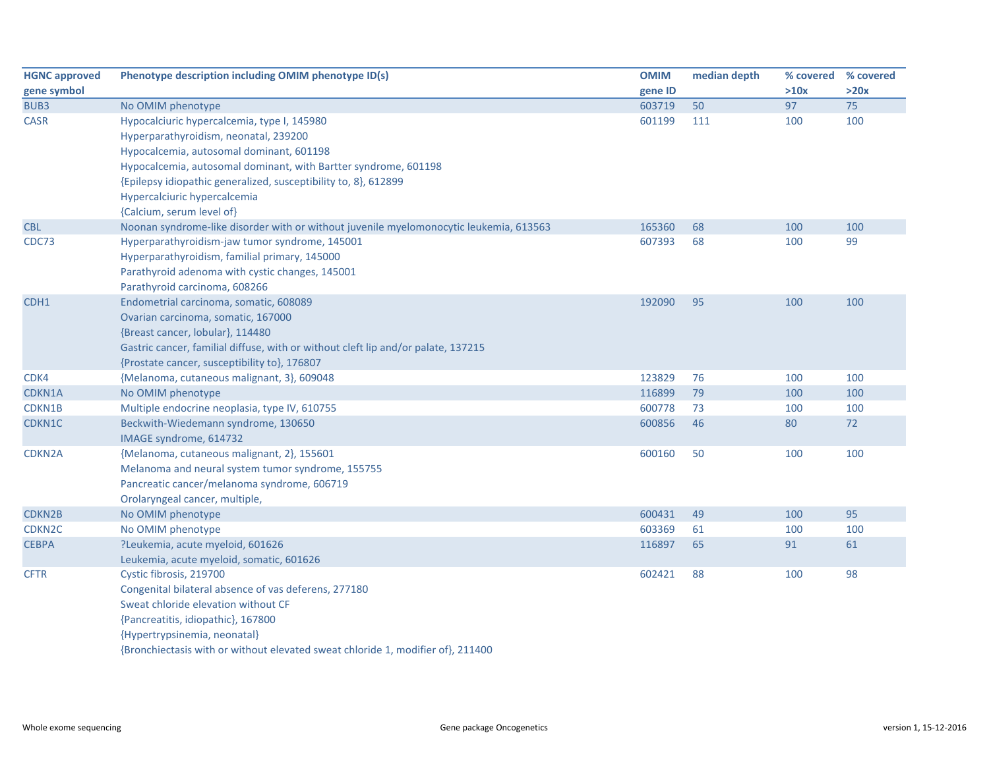| <b>HGNC approved</b> | Phenotype description including OMIM phenotype ID(s)                                   | <b>OMIM</b> | median depth | % covered | % covered |
|----------------------|----------------------------------------------------------------------------------------|-------------|--------------|-----------|-----------|
| gene symbol          |                                                                                        | gene ID     |              | >10x      | >20x      |
| BUB3                 | No OMIM phenotype                                                                      | 603719      | 50           | 97        | 75        |
| <b>CASR</b>          | Hypocalciuric hypercalcemia, type I, 145980                                            | 601199      | 111          | 100       | 100       |
|                      | Hyperparathyroidism, neonatal, 239200                                                  |             |              |           |           |
|                      | Hypocalcemia, autosomal dominant, 601198                                               |             |              |           |           |
|                      | Hypocalcemia, autosomal dominant, with Bartter syndrome, 601198                        |             |              |           |           |
|                      | {Epilepsy idiopathic generalized, susceptibility to, 8}, 612899                        |             |              |           |           |
|                      | Hypercalciuric hypercalcemia                                                           |             |              |           |           |
|                      | {Calcium, serum level of}                                                              |             |              |           |           |
| <b>CBL</b>           | Noonan syndrome-like disorder with or without juvenile myelomonocytic leukemia, 613563 | 165360      | 68           | 100       | 100       |
| CDC73                | Hyperparathyroidism-jaw tumor syndrome, 145001                                         | 607393      | 68           | 100       | 99        |
|                      | Hyperparathyroidism, familial primary, 145000                                          |             |              |           |           |
|                      | Parathyroid adenoma with cystic changes, 145001                                        |             |              |           |           |
|                      | Parathyroid carcinoma, 608266                                                          |             |              |           |           |
| CDH1                 | Endometrial carcinoma, somatic, 608089                                                 | 192090      | 95           | 100       | 100       |
|                      | Ovarian carcinoma, somatic, 167000                                                     |             |              |           |           |
|                      | {Breast cancer, lobular}, 114480                                                       |             |              |           |           |
|                      | Gastric cancer, familial diffuse, with or without cleft lip and/or palate, 137215      |             |              |           |           |
|                      | {Prostate cancer, susceptibility to}, 176807                                           |             |              |           |           |
| CDK4                 | {Melanoma, cutaneous malignant, 3}, 609048                                             | 123829      | 76           | 100       | 100       |
| CDKN1A               | No OMIM phenotype                                                                      | 116899      | 79           | 100       | 100       |
| CDKN1B               | Multiple endocrine neoplasia, type IV, 610755                                          | 600778      | 73           | 100       | 100       |
| CDKN1C               | Beckwith-Wiedemann syndrome, 130650                                                    | 600856      | 46           | 80        | 72        |
|                      | IMAGE syndrome, 614732                                                                 |             |              |           |           |
| CDKN2A               | {Melanoma, cutaneous malignant, 2}, 155601                                             | 600160      | 50           | 100       | 100       |
|                      | Melanoma and neural system tumor syndrome, 155755                                      |             |              |           |           |
|                      | Pancreatic cancer/melanoma syndrome, 606719                                            |             |              |           |           |
|                      | Orolaryngeal cancer, multiple,                                                         |             |              |           |           |
| <b>CDKN2B</b>        | No OMIM phenotype                                                                      | 600431      | 49           | 100       | 95        |
| CDKN <sub>2C</sub>   | No OMIM phenotype                                                                      | 603369      | 61           | 100       | 100       |
| <b>CEBPA</b>         | ?Leukemia, acute myeloid, 601626                                                       | 116897      | 65           | 91        | 61        |
|                      | Leukemia, acute myeloid, somatic, 601626                                               |             |              |           |           |
| <b>CFTR</b>          | Cystic fibrosis, 219700                                                                | 602421      | 88           | 100       | 98        |
|                      | Congenital bilateral absence of vas deferens, 277180                                   |             |              |           |           |
|                      | Sweat chloride elevation without CF                                                    |             |              |           |           |
|                      | {Pancreatitis, idiopathic}, 167800                                                     |             |              |           |           |
|                      | {Hypertrypsinemia, neonatal}                                                           |             |              |           |           |
|                      | {Bronchiectasis with or without elevated sweat chloride 1, modifier of}, 211400        |             |              |           |           |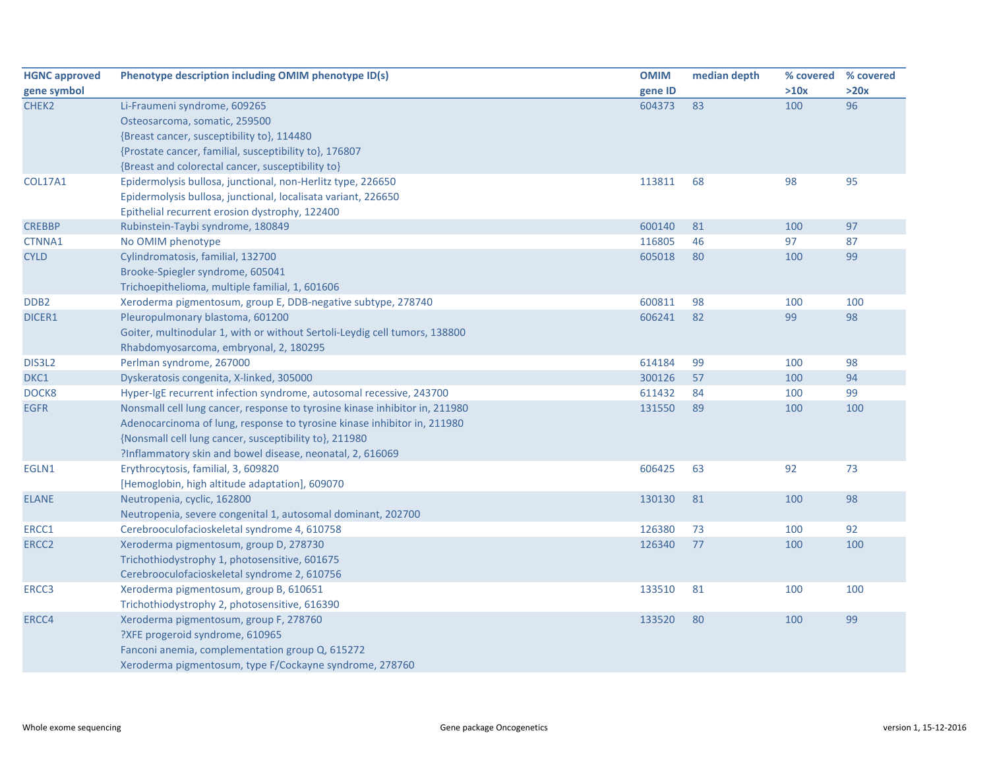| <b>HGNC approved</b> | Phenotype description including OMIM phenotype ID(s)                        | <b>OMIM</b> | median depth | % covered % covered |      |
|----------------------|-----------------------------------------------------------------------------|-------------|--------------|---------------------|------|
| gene symbol          |                                                                             | gene ID     |              | >10x                | >20x |
| CHEK2                | Li-Fraumeni syndrome, 609265                                                | 604373      | 83           | 100                 | 96   |
|                      | Osteosarcoma, somatic, 259500                                               |             |              |                     |      |
|                      | {Breast cancer, susceptibility to}, 114480                                  |             |              |                     |      |
|                      | {Prostate cancer, familial, susceptibility to}, 176807                      |             |              |                     |      |
|                      | {Breast and colorectal cancer, susceptibility to}                           |             |              |                     |      |
| <b>COL17A1</b>       | Epidermolysis bullosa, junctional, non-Herlitz type, 226650                 | 113811      | 68           | 98                  | 95   |
|                      | Epidermolysis bullosa, junctional, localisata variant, 226650               |             |              |                     |      |
|                      | Epithelial recurrent erosion dystrophy, 122400                              |             |              |                     |      |
| <b>CREBBP</b>        | Rubinstein-Taybi syndrome, 180849                                           | 600140      | 81           | 100                 | 97   |
| CTNNA1               | No OMIM phenotype                                                           | 116805      | 46           | 97                  | 87   |
| <b>CYLD</b>          | Cylindromatosis, familial, 132700                                           | 605018      | 80           | 100                 | 99   |
|                      | Brooke-Spiegler syndrome, 605041                                            |             |              |                     |      |
|                      | Trichoepithelioma, multiple familial, 1, 601606                             |             |              |                     |      |
| DDB <sub>2</sub>     | Xeroderma pigmentosum, group E, DDB-negative subtype, 278740                | 600811      | 98           | 100                 | 100  |
| DICER1               | Pleuropulmonary blastoma, 601200                                            | 606241      | 82           | 99                  | 98   |
|                      | Goiter, multinodular 1, with or without Sertoli-Leydig cell tumors, 138800  |             |              |                     |      |
|                      | Rhabdomyosarcoma, embryonal, 2, 180295                                      |             |              |                     |      |
| DIS3L2               | Perlman syndrome, 267000                                                    | 614184      | 99           | 100                 | 98   |
| DKC1                 | Dyskeratosis congenita, X-linked, 305000                                    | 300126      | 57           | 100                 | 94   |
| DOCK8                | Hyper-IgE recurrent infection syndrome, autosomal recessive, 243700         | 611432      | 84           | 100                 | 99   |
| <b>EGFR</b>          | Nonsmall cell lung cancer, response to tyrosine kinase inhibitor in, 211980 | 131550      | 89           | 100                 | 100  |
|                      | Adenocarcinoma of lung, response to tyrosine kinase inhibitor in, 211980    |             |              |                     |      |
|                      | {Nonsmall cell lung cancer, susceptibility to}, 211980                      |             |              |                     |      |
|                      | ?Inflammatory skin and bowel disease, neonatal, 2, 616069                   |             |              |                     |      |
| EGLN1                | Erythrocytosis, familial, 3, 609820                                         | 606425      | 63           | 92                  | 73   |
|                      | [Hemoglobin, high altitude adaptation], 609070                              |             |              |                     |      |
| <b>ELANE</b>         | Neutropenia, cyclic, 162800                                                 | 130130      | 81           | 100                 | 98   |
|                      | Neutropenia, severe congenital 1, autosomal dominant, 202700                |             |              |                     |      |
| ERCC1                | Cerebrooculofacioskeletal syndrome 4, 610758                                | 126380      | 73           | 100                 | 92   |
| ERCC <sub>2</sub>    | Xeroderma pigmentosum, group D, 278730                                      | 126340      | 77           | 100                 | 100  |
|                      | Trichothiodystrophy 1, photosensitive, 601675                               |             |              |                     |      |
|                      | Cerebrooculofacioskeletal syndrome 2, 610756                                |             |              |                     |      |
| ERCC3                | Xeroderma pigmentosum, group B, 610651                                      | 133510      | 81           | 100                 | 100  |
|                      | Trichothiodystrophy 2, photosensitive, 616390                               |             |              |                     |      |
| ERCC4                | Xeroderma pigmentosum, group F, 278760                                      | 133520      | 80           | 100                 | 99   |
|                      | ?XFE progeroid syndrome, 610965                                             |             |              |                     |      |
|                      | Fanconi anemia, complementation group Q, 615272                             |             |              |                     |      |
|                      | Xeroderma pigmentosum, type F/Cockayne syndrome, 278760                     |             |              |                     |      |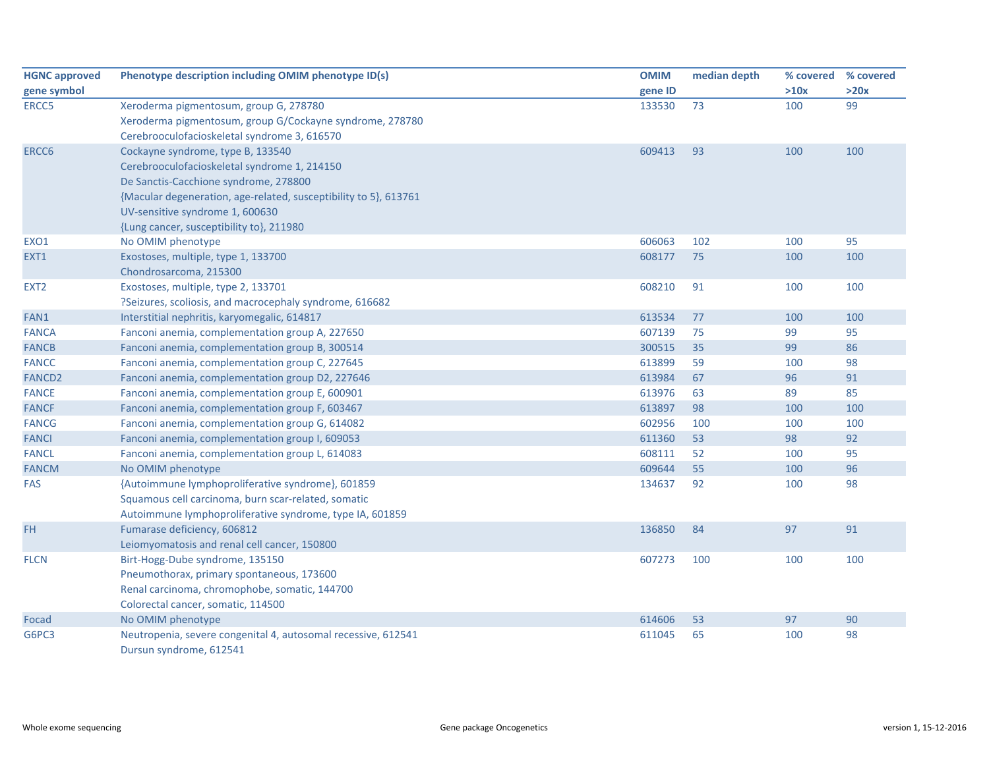| <b>HGNC approved</b> | Phenotype description including OMIM phenotype ID(s)             | <b>OMIM</b> | median depth | % covered | % covered |
|----------------------|------------------------------------------------------------------|-------------|--------------|-----------|-----------|
| gene symbol          |                                                                  | gene ID     |              | >10x      | >20x      |
| ERCC5                | Xeroderma pigmentosum, group G, 278780                           | 133530      | 73           | 100       | 99        |
|                      | Xeroderma pigmentosum, group G/Cockayne syndrome, 278780         |             |              |           |           |
|                      | Cerebrooculofacioskeletal syndrome 3, 616570                     |             |              |           |           |
| ERCC6                | Cockayne syndrome, type B, 133540                                | 609413      | 93           | 100       | 100       |
|                      | Cerebrooculofacioskeletal syndrome 1, 214150                     |             |              |           |           |
|                      | De Sanctis-Cacchione syndrome, 278800                            |             |              |           |           |
|                      | {Macular degeneration, age-related, susceptibility to 5}, 613761 |             |              |           |           |
|                      | UV-sensitive syndrome 1, 600630                                  |             |              |           |           |
|                      | {Lung cancer, susceptibility to}, 211980                         |             |              |           |           |
| EXO1                 | No OMIM phenotype                                                | 606063      | 102          | 100       | 95        |
| EXT1                 | Exostoses, multiple, type 1, 133700                              | 608177      | 75           | 100       | 100       |
|                      | Chondrosarcoma, 215300                                           |             |              |           |           |
| EXT <sub>2</sub>     | Exostoses, multiple, type 2, 133701                              | 608210      | 91           | 100       | 100       |
|                      | ?Seizures, scoliosis, and macrocephaly syndrome, 616682          |             |              |           |           |
| FAN1                 | Interstitial nephritis, karyomegalic, 614817                     | 613534      | 77           | 100       | 100       |
| <b>FANCA</b>         | Fanconi anemia, complementation group A, 227650                  | 607139      | 75           | 99        | 95        |
| <b>FANCB</b>         | Fanconi anemia, complementation group B, 300514                  | 300515      | 35           | 99        | 86        |
| <b>FANCC</b>         | Fanconi anemia, complementation group C, 227645                  | 613899      | 59           | 100       | 98        |
| <b>FANCD2</b>        | Fanconi anemia, complementation group D2, 227646                 | 613984      | 67           | 96        | 91        |
| <b>FANCE</b>         | Fanconi anemia, complementation group E, 600901                  | 613976      | 63           | 89        | 85        |
| <b>FANCF</b>         | Fanconi anemia, complementation group F, 603467                  | 613897      | 98           | 100       | 100       |
| <b>FANCG</b>         | Fanconi anemia, complementation group G, 614082                  | 602956      | 100          | 100       | 100       |
| <b>FANCI</b>         | Fanconi anemia, complementation group I, 609053                  | 611360      | 53           | 98        | 92        |
| <b>FANCL</b>         | Fanconi anemia, complementation group L, 614083                  | 608111      | 52           | 100       | 95        |
| <b>FANCM</b>         | No OMIM phenotype                                                | 609644      | 55           | 100       | 96        |
| FAS                  | {Autoimmune lymphoproliferative syndrome}, 601859                | 134637      | 92           | 100       | 98        |
|                      | Squamous cell carcinoma, burn scar-related, somatic              |             |              |           |           |
|                      | Autoimmune lymphoproliferative syndrome, type IA, 601859         |             |              |           |           |
| FH                   | Fumarase deficiency, 606812                                      | 136850      | 84           | 97        | 91        |
|                      | Leiomyomatosis and renal cell cancer, 150800                     |             |              |           |           |
| <b>FLCN</b>          | Birt-Hogg-Dube syndrome, 135150                                  | 607273      | 100          | 100       | 100       |
|                      | Pneumothorax, primary spontaneous, 173600                        |             |              |           |           |
|                      | Renal carcinoma, chromophobe, somatic, 144700                    |             |              |           |           |
|                      | Colorectal cancer, somatic, 114500                               |             |              |           |           |
| Focad                | No OMIM phenotype                                                | 614606      | 53           | 97        | 90        |
| G6PC3                | Neutropenia, severe congenital 4, autosomal recessive, 612541    | 611045      | 65           | 100       | 98        |
|                      | Dursun syndrome, 612541                                          |             |              |           |           |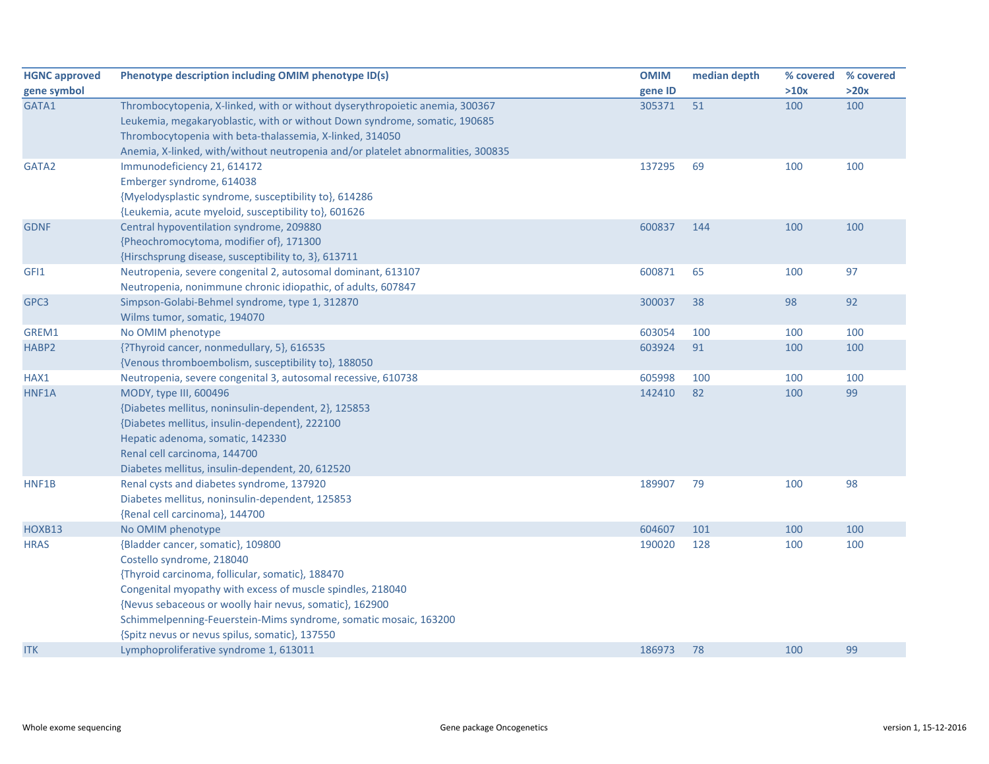| <b>HGNC approved</b> | Phenotype description including OMIM phenotype ID(s)                             | <b>OMIM</b> | median depth | % covered % covered |      |
|----------------------|----------------------------------------------------------------------------------|-------------|--------------|---------------------|------|
| gene symbol          |                                                                                  | gene ID     |              | >10x                | >20x |
| GATA1                | Thrombocytopenia, X-linked, with or without dyserythropoietic anemia, 300367     | 305371      | 51           | 100                 | 100  |
|                      | Leukemia, megakaryoblastic, with or without Down syndrome, somatic, 190685       |             |              |                     |      |
|                      | Thrombocytopenia with beta-thalassemia, X-linked, 314050                         |             |              |                     |      |
|                      | Anemia, X-linked, with/without neutropenia and/or platelet abnormalities, 300835 |             |              |                     |      |
| GATA2                | Immunodeficiency 21, 614172                                                      | 137295      | 69           | 100                 | 100  |
|                      | Emberger syndrome, 614038                                                        |             |              |                     |      |
|                      | {Myelodysplastic syndrome, susceptibility to}, 614286                            |             |              |                     |      |
|                      | {Leukemia, acute myeloid, susceptibility to}, 601626                             |             |              |                     |      |
| <b>GDNF</b>          | Central hypoventilation syndrome, 209880                                         | 600837      | 144          | 100                 | 100  |
|                      | {Pheochromocytoma, modifier of}, 171300                                          |             |              |                     |      |
|                      | {Hirschsprung disease, susceptibility to, 3}, 613711                             |             |              |                     |      |
| GFI1                 | Neutropenia, severe congenital 2, autosomal dominant, 613107                     | 600871      | 65           | 100                 | 97   |
|                      | Neutropenia, nonimmune chronic idiopathic, of adults, 607847                     |             |              |                     |      |
| GPC3                 | Simpson-Golabi-Behmel syndrome, type 1, 312870                                   | 300037      | 38           | 98                  | 92   |
|                      | Wilms tumor, somatic, 194070                                                     |             |              |                     |      |
| GREM1                | No OMIM phenotype                                                                | 603054      | 100          | 100                 | 100  |
| HABP2                | {?Thyroid cancer, nonmedullary, 5}, 616535                                       | 603924      | 91           | 100                 | 100  |
|                      | {Venous thromboembolism, susceptibility to}, 188050                              |             |              |                     |      |
| HAX1                 | Neutropenia, severe congenital 3, autosomal recessive, 610738                    | 605998      | 100          | 100                 | 100  |
| HNF1A                | MODY, type III, 600496                                                           | 142410      | 82           | 100                 | 99   |
|                      | {Diabetes mellitus, noninsulin-dependent, 2}, 125853                             |             |              |                     |      |
|                      | {Diabetes mellitus, insulin-dependent}, 222100                                   |             |              |                     |      |
|                      | Hepatic adenoma, somatic, 142330                                                 |             |              |                     |      |
|                      | Renal cell carcinoma, 144700                                                     |             |              |                     |      |
|                      | Diabetes mellitus, insulin-dependent, 20, 612520                                 |             |              |                     |      |
| HNF1B                | Renal cysts and diabetes syndrome, 137920                                        | 189907      | 79           | 100                 | 98   |
|                      | Diabetes mellitus, noninsulin-dependent, 125853                                  |             |              |                     |      |
|                      | {Renal cell carcinoma}, 144700                                                   |             |              |                     |      |
| HOXB13               | No OMIM phenotype                                                                | 604607      | 101          | 100                 | 100  |
| <b>HRAS</b>          | {Bladder cancer, somatic}, 109800                                                | 190020      | 128          | 100                 | 100  |
|                      | Costello syndrome, 218040                                                        |             |              |                     |      |
|                      | {Thyroid carcinoma, follicular, somatic}, 188470                                 |             |              |                     |      |
|                      | Congenital myopathy with excess of muscle spindles, 218040                       |             |              |                     |      |
|                      | {Nevus sebaceous or woolly hair nevus, somatic}, 162900                          |             |              |                     |      |
|                      | Schimmelpenning-Feuerstein-Mims syndrome, somatic mosaic, 163200                 |             |              |                     |      |
|                      | {Spitz nevus or nevus spilus, somatic}, 137550                                   |             |              |                     |      |
| <b>ITK</b>           | Lymphoproliferative syndrome 1, 613011                                           | 186973      | 78           | 100                 | 99   |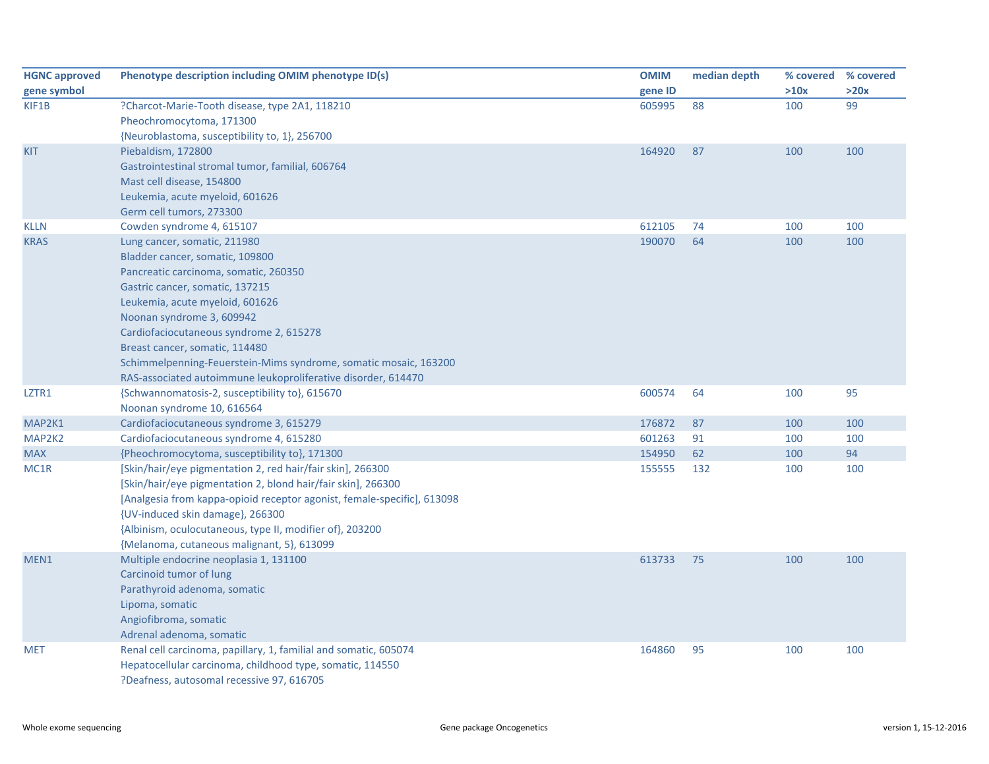| <b>HGNC approved</b> | Phenotype description including OMIM phenotype ID(s)                    | <b>OMIM</b> | median depth |      | % covered % covered |
|----------------------|-------------------------------------------------------------------------|-------------|--------------|------|---------------------|
| gene symbol          |                                                                         | gene ID     |              | >10x | >20x                |
| KIF1B                | ?Charcot-Marie-Tooth disease, type 2A1, 118210                          | 605995      | 88           | 100  | 99                  |
|                      | Pheochromocytoma, 171300                                                |             |              |      |                     |
|                      | {Neuroblastoma, susceptibility to, 1}, 256700                           |             |              |      |                     |
| <b>KIT</b>           | Piebaldism, 172800                                                      | 164920      | 87           | 100  | 100                 |
|                      | Gastrointestinal stromal tumor, familial, 606764                        |             |              |      |                     |
|                      | Mast cell disease, 154800                                               |             |              |      |                     |
|                      | Leukemia, acute myeloid, 601626                                         |             |              |      |                     |
|                      | Germ cell tumors, 273300                                                |             |              |      |                     |
| <b>KLLN</b>          | Cowden syndrome 4, 615107                                               | 612105      | 74           | 100  | 100                 |
| <b>KRAS</b>          | Lung cancer, somatic, 211980                                            | 190070      | 64           | 100  | 100                 |
|                      | Bladder cancer, somatic, 109800                                         |             |              |      |                     |
|                      | Pancreatic carcinoma, somatic, 260350                                   |             |              |      |                     |
|                      | Gastric cancer, somatic, 137215                                         |             |              |      |                     |
|                      | Leukemia, acute myeloid, 601626                                         |             |              |      |                     |
|                      | Noonan syndrome 3, 609942                                               |             |              |      |                     |
|                      | Cardiofaciocutaneous syndrome 2, 615278                                 |             |              |      |                     |
|                      | Breast cancer, somatic, 114480                                          |             |              |      |                     |
|                      | Schimmelpenning-Feuerstein-Mims syndrome, somatic mosaic, 163200        |             |              |      |                     |
|                      | RAS-associated autoimmune leukoproliferative disorder, 614470           |             |              |      |                     |
| LZTR1                | {Schwannomatosis-2, susceptibility to}, 615670                          | 600574      | 64           | 100  | 95                  |
|                      | Noonan syndrome 10, 616564                                              |             |              |      |                     |
| MAP2K1               | Cardiofaciocutaneous syndrome 3, 615279                                 | 176872      | 87           | 100  | 100                 |
| MAP2K2               | Cardiofaciocutaneous syndrome 4, 615280                                 | 601263      | 91           | 100  | 100                 |
| <b>MAX</b>           | {Pheochromocytoma, susceptibility to}, 171300                           | 154950      | 62           | 100  | 94                  |
| MC1R                 | [Skin/hair/eye pigmentation 2, red hair/fair skin], 266300              | 155555      | 132          | 100  | 100                 |
|                      | [Skin/hair/eye pigmentation 2, blond hair/fair skin], 266300            |             |              |      |                     |
|                      | [Analgesia from kappa-opioid receptor agonist, female-specific], 613098 |             |              |      |                     |
|                      | {UV-induced skin damage}, 266300                                        |             |              |      |                     |
|                      | {Albinism, oculocutaneous, type II, modifier of}, 203200                |             |              |      |                     |
|                      | {Melanoma, cutaneous malignant, 5}, 613099                              |             |              |      |                     |
| MEN1                 | Multiple endocrine neoplasia 1, 131100                                  | 613733      | 75           | 100  | 100                 |
|                      | Carcinoid tumor of lung                                                 |             |              |      |                     |
|                      | Parathyroid adenoma, somatic                                            |             |              |      |                     |
|                      | Lipoma, somatic                                                         |             |              |      |                     |
|                      | Angiofibroma, somatic                                                   |             |              |      |                     |
|                      | Adrenal adenoma, somatic                                                |             |              |      |                     |
| <b>MET</b>           | Renal cell carcinoma, papillary, 1, familial and somatic, 605074        | 164860      | 95           | 100  | 100                 |
|                      | Hepatocellular carcinoma, childhood type, somatic, 114550               |             |              |      |                     |
|                      | ?Deafness, autosomal recessive 97, 616705                               |             |              |      |                     |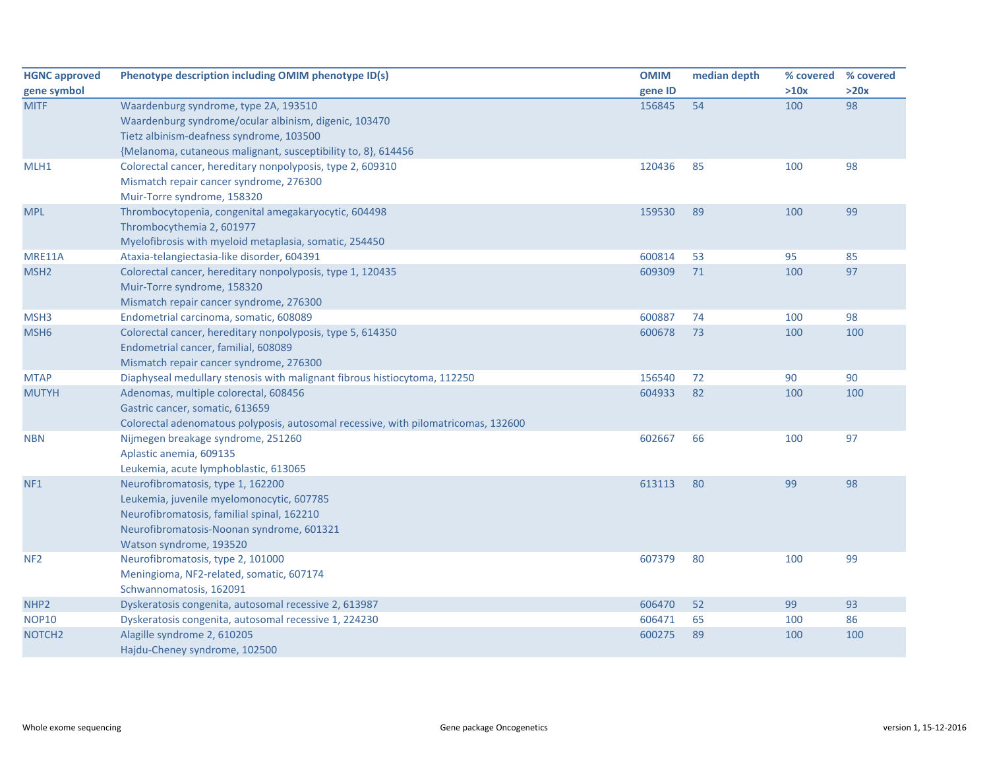| <b>HGNC approved</b> | Phenotype description including OMIM phenotype ID(s)                               | <b>OMIM</b> | median depth | % covered | % covered |
|----------------------|------------------------------------------------------------------------------------|-------------|--------------|-----------|-----------|
| gene symbol          |                                                                                    | gene ID     |              | >10x      | >20x      |
| <b>MITF</b>          | Waardenburg syndrome, type 2A, 193510                                              | 156845      | 54           | 100       | 98        |
|                      | Waardenburg syndrome/ocular albinism, digenic, 103470                              |             |              |           |           |
|                      | Tietz albinism-deafness syndrome, 103500                                           |             |              |           |           |
|                      | {Melanoma, cutaneous malignant, susceptibility to, 8}, 614456                      |             |              |           |           |
| MLH1                 | Colorectal cancer, hereditary nonpolyposis, type 2, 609310                         | 120436      | 85           | 100       | 98        |
|                      | Mismatch repair cancer syndrome, 276300                                            |             |              |           |           |
|                      | Muir-Torre syndrome, 158320                                                        |             |              |           |           |
| <b>MPL</b>           | Thrombocytopenia, congenital amegakaryocytic, 604498                               | 159530      | 89           | 100       | 99        |
|                      | Thrombocythemia 2, 601977                                                          |             |              |           |           |
|                      | Myelofibrosis with myeloid metaplasia, somatic, 254450                             |             |              |           |           |
| MRE11A               | Ataxia-telangiectasia-like disorder, 604391                                        | 600814      | 53           | 95        | 85        |
| MSH <sub>2</sub>     | Colorectal cancer, hereditary nonpolyposis, type 1, 120435                         | 609309      | 71           | 100       | 97        |
|                      | Muir-Torre syndrome, 158320                                                        |             |              |           |           |
|                      | Mismatch repair cancer syndrome, 276300                                            |             |              |           |           |
| MSH3                 | Endometrial carcinoma, somatic, 608089                                             | 600887      | 74           | 100       | 98        |
| MSH <sub>6</sub>     | Colorectal cancer, hereditary nonpolyposis, type 5, 614350                         | 600678      | 73           | 100       | 100       |
|                      | Endometrial cancer, familial, 608089                                               |             |              |           |           |
|                      | Mismatch repair cancer syndrome, 276300                                            |             |              |           |           |
| <b>MTAP</b>          | Diaphyseal medullary stenosis with malignant fibrous histiocytoma, 112250          | 156540      | 72           | 90        | 90        |
| <b>MUTYH</b>         | Adenomas, multiple colorectal, 608456                                              | 604933      | 82           | 100       | 100       |
|                      | Gastric cancer, somatic, 613659                                                    |             |              |           |           |
|                      | Colorectal adenomatous polyposis, autosomal recessive, with pilomatricomas, 132600 |             |              |           |           |
| <b>NBN</b>           | Nijmegen breakage syndrome, 251260                                                 | 602667      | 66           | 100       | 97        |
|                      | Aplastic anemia, 609135                                                            |             |              |           |           |
|                      | Leukemia, acute lymphoblastic, 613065                                              |             |              |           |           |
| NF <sub>1</sub>      | Neurofibromatosis, type 1, 162200                                                  | 613113      | 80           | 99        | 98        |
|                      | Leukemia, juvenile myelomonocytic, 607785                                          |             |              |           |           |
|                      | Neurofibromatosis, familial spinal, 162210                                         |             |              |           |           |
|                      | Neurofibromatosis-Noonan syndrome, 601321                                          |             |              |           |           |
|                      | Watson syndrome, 193520                                                            |             |              |           |           |
| NF <sub>2</sub>      | Neurofibromatosis, type 2, 101000                                                  | 607379      | 80           | 100       | 99        |
|                      | Meningioma, NF2-related, somatic, 607174                                           |             |              |           |           |
|                      | Schwannomatosis, 162091                                                            |             |              |           |           |
| NHP <sub>2</sub>     | Dyskeratosis congenita, autosomal recessive 2, 613987                              | 606470      | 52           | 99        | 93        |
| <b>NOP10</b>         | Dyskeratosis congenita, autosomal recessive 1, 224230                              | 606471      | 65           | 100       | 86        |
| NOTCH <sub>2</sub>   | Alagille syndrome 2, 610205                                                        | 600275      | 89           | 100       | 100       |
|                      | Hajdu-Cheney syndrome, 102500                                                      |             |              |           |           |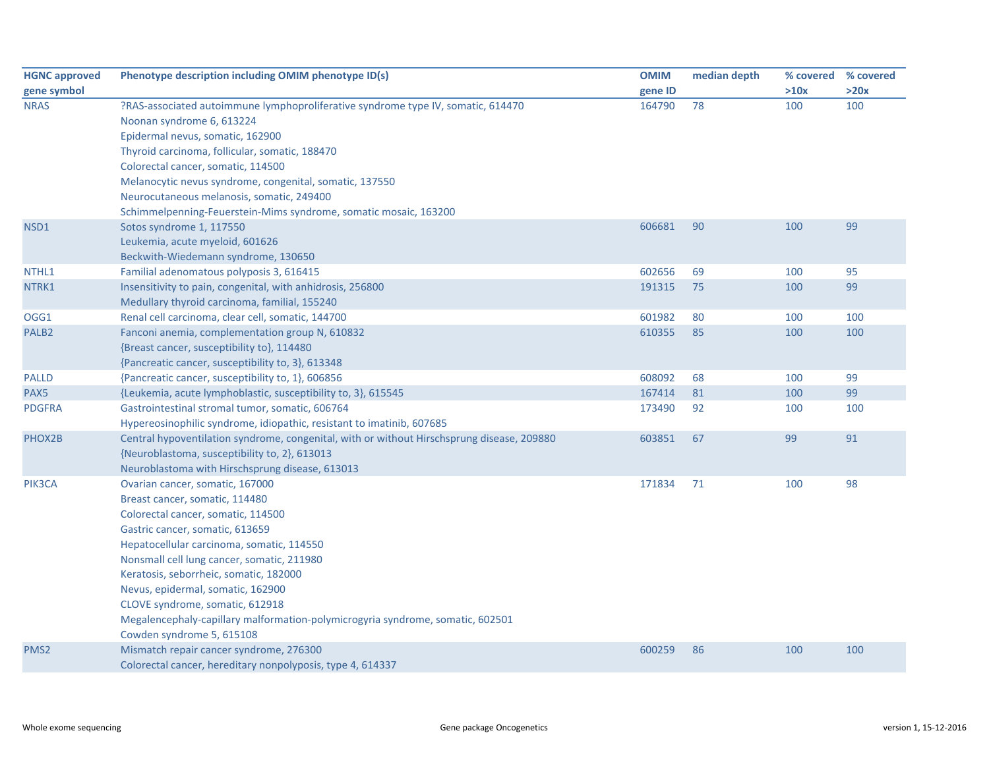| <b>HGNC approved</b> | Phenotype description including OMIM phenotype ID(s)                                       | <b>OMIM</b> | median depth |      | % covered % covered |
|----------------------|--------------------------------------------------------------------------------------------|-------------|--------------|------|---------------------|
| gene symbol          |                                                                                            | gene ID     |              | >10x | >20x                |
| <b>NRAS</b>          | ?RAS-associated autoimmune lymphoproliferative syndrome type IV, somatic, 614470           | 164790      | 78           | 100  | 100                 |
|                      | Noonan syndrome 6, 613224                                                                  |             |              |      |                     |
|                      | Epidermal nevus, somatic, 162900                                                           |             |              |      |                     |
|                      | Thyroid carcinoma, follicular, somatic, 188470                                             |             |              |      |                     |
|                      | Colorectal cancer, somatic, 114500                                                         |             |              |      |                     |
|                      | Melanocytic nevus syndrome, congenital, somatic, 137550                                    |             |              |      |                     |
|                      | Neurocutaneous melanosis, somatic, 249400                                                  |             |              |      |                     |
|                      | Schimmelpenning-Feuerstein-Mims syndrome, somatic mosaic, 163200                           |             |              |      |                     |
| NSD1                 | Sotos syndrome 1, 117550                                                                   | 606681      | 90           | 100  | 99                  |
|                      | Leukemia, acute myeloid, 601626                                                            |             |              |      |                     |
|                      | Beckwith-Wiedemann syndrome, 130650                                                        |             |              |      |                     |
| NTHL1                | Familial adenomatous polyposis 3, 616415                                                   | 602656      | 69           | 100  | 95                  |
| NTRK1                | Insensitivity to pain, congenital, with anhidrosis, 256800                                 | 191315      | 75           | 100  | 99                  |
|                      | Medullary thyroid carcinoma, familial, 155240                                              |             |              |      |                     |
| OGG1                 | Renal cell carcinoma, clear cell, somatic, 144700                                          | 601982      | 80           | 100  | 100                 |
| PALB <sub>2</sub>    | Fanconi anemia, complementation group N, 610832                                            | 610355      | 85           | 100  | 100                 |
|                      | {Breast cancer, susceptibility to}, 114480                                                 |             |              |      |                     |
|                      | {Pancreatic cancer, susceptibility to, 3}, 613348                                          |             |              |      |                     |
| <b>PALLD</b>         | {Pancreatic cancer, susceptibility to, 1}, 606856                                          | 608092      | 68           | 100  | 99                  |
| PAX5                 | {Leukemia, acute lymphoblastic, susceptibility to, 3}, 615545                              | 167414      | 81           | 100  | 99                  |
| <b>PDGFRA</b>        | Gastrointestinal stromal tumor, somatic, 606764                                            | 173490      | 92           | 100  | 100                 |
|                      | Hypereosinophilic syndrome, idiopathic, resistant to imatinib, 607685                      |             |              |      |                     |
| PHOX2B               | Central hypoventilation syndrome, congenital, with or without Hirschsprung disease, 209880 | 603851      | 67           | 99   | 91                  |
|                      | {Neuroblastoma, susceptibility to, 2}, 613013                                              |             |              |      |                     |
|                      | Neuroblastoma with Hirschsprung disease, 613013                                            |             |              |      |                     |
| PIK3CA               | Ovarian cancer, somatic, 167000                                                            | 171834      | 71           | 100  | 98                  |
|                      | Breast cancer, somatic, 114480                                                             |             |              |      |                     |
|                      | Colorectal cancer, somatic, 114500                                                         |             |              |      |                     |
|                      | Gastric cancer, somatic, 613659                                                            |             |              |      |                     |
|                      | Hepatocellular carcinoma, somatic, 114550                                                  |             |              |      |                     |
|                      | Nonsmall cell lung cancer, somatic, 211980                                                 |             |              |      |                     |
|                      | Keratosis, seborrheic, somatic, 182000                                                     |             |              |      |                     |
|                      | Nevus, epidermal, somatic, 162900                                                          |             |              |      |                     |
|                      | CLOVE syndrome, somatic, 612918                                                            |             |              |      |                     |
|                      | Megalencephaly-capillary malformation-polymicrogyria syndrome, somatic, 602501             |             |              |      |                     |
|                      | Cowden syndrome 5, 615108                                                                  |             |              |      |                     |
| PMS <sub>2</sub>     | Mismatch repair cancer syndrome, 276300                                                    | 600259      | 86           | 100  | 100                 |
|                      | Colorectal cancer, hereditary nonpolyposis, type 4, 614337                                 |             |              |      |                     |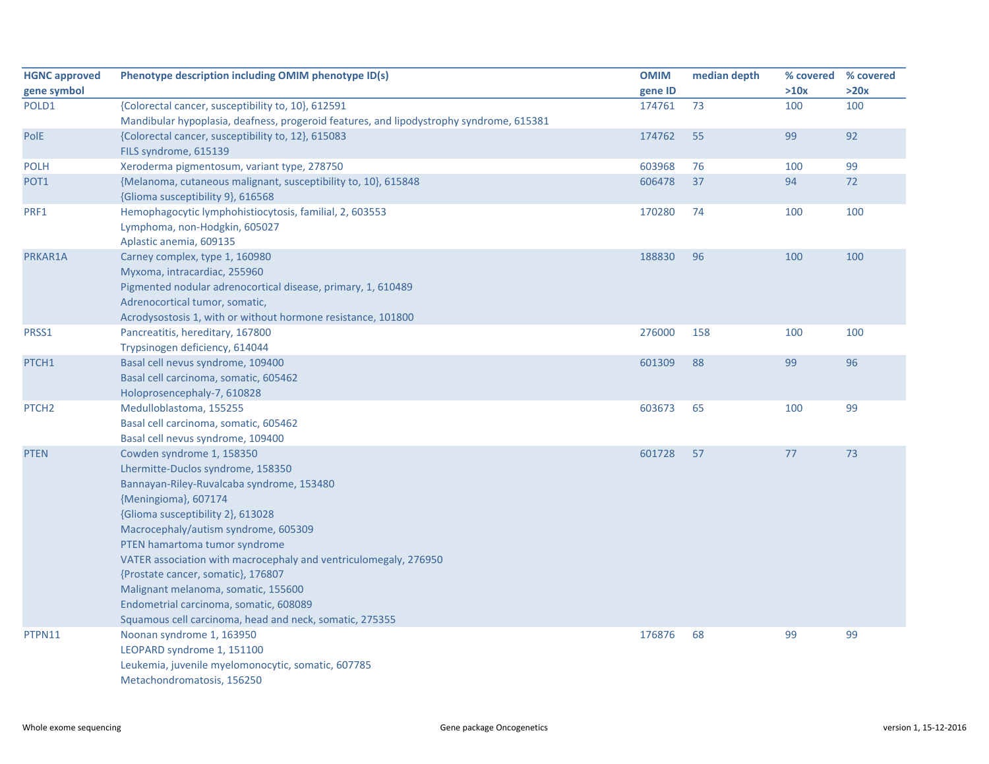| <b>HGNC approved</b> | Phenotype description including OMIM phenotype ID(s)                                    | <b>OMIM</b> | median depth | % covered % covered |      |
|----------------------|-----------------------------------------------------------------------------------------|-------------|--------------|---------------------|------|
| gene symbol          |                                                                                         | gene ID     |              | >10x                | >20x |
| POLD1                | {Colorectal cancer, susceptibility to, 10}, 612591                                      | 174761      | 73           | 100                 | 100  |
|                      | Mandibular hypoplasia, deafness, progeroid features, and lipodystrophy syndrome, 615381 |             |              |                     |      |
| PolE                 | {Colorectal cancer, susceptibility to, 12}, 615083                                      | 174762      | 55           | 99                  | 92   |
|                      | FILS syndrome, 615139                                                                   |             |              |                     |      |
| <b>POLH</b>          | Xeroderma pigmentosum, variant type, 278750                                             | 603968      | 76           | 100                 | 99   |
| POT <sub>1</sub>     | {Melanoma, cutaneous malignant, susceptibility to, 10}, 615848                          | 606478      | 37           | 94                  | 72   |
|                      | {Glioma susceptibility 9}, 616568                                                       |             |              |                     |      |
| PRF1                 | Hemophagocytic lymphohistiocytosis, familial, 2, 603553                                 | 170280      | 74           | 100                 | 100  |
|                      | Lymphoma, non-Hodgkin, 605027                                                           |             |              |                     |      |
|                      | Aplastic anemia, 609135                                                                 |             |              |                     |      |
| PRKAR1A              | Carney complex, type 1, 160980                                                          | 188830      | 96           | 100                 | 100  |
|                      | Myxoma, intracardiac, 255960                                                            |             |              |                     |      |
|                      | Pigmented nodular adrenocortical disease, primary, 1, 610489                            |             |              |                     |      |
|                      | Adrenocortical tumor, somatic,                                                          |             |              |                     |      |
|                      | Acrodysostosis 1, with or without hormone resistance, 101800                            |             |              |                     |      |
| PRSS1                | Pancreatitis, hereditary, 167800                                                        | 276000      | 158          | 100                 | 100  |
|                      | Trypsinogen deficiency, 614044                                                          |             |              |                     |      |
| PTCH1                | Basal cell nevus syndrome, 109400                                                       | 601309      | 88           | 99                  | 96   |
|                      | Basal cell carcinoma, somatic, 605462                                                   |             |              |                     |      |
|                      | Holoprosencephaly-7, 610828                                                             |             |              |                     |      |
| PTCH <sub>2</sub>    | Medulloblastoma, 155255                                                                 | 603673      | 65           | 100                 | 99   |
|                      | Basal cell carcinoma, somatic, 605462                                                   |             |              |                     |      |
|                      | Basal cell nevus syndrome, 109400                                                       |             |              |                     |      |
| <b>PTEN</b>          | Cowden syndrome 1, 158350                                                               | 601728      | 57           | 77                  | 73   |
|                      | Lhermitte-Duclos syndrome, 158350                                                       |             |              |                     |      |
|                      | Bannayan-Riley-Ruvalcaba syndrome, 153480                                               |             |              |                     |      |
|                      | {Meningioma}, 607174                                                                    |             |              |                     |      |
|                      | {Glioma susceptibility 2}, 613028                                                       |             |              |                     |      |
|                      | Macrocephaly/autism syndrome, 605309                                                    |             |              |                     |      |
|                      | PTEN hamartoma tumor syndrome                                                           |             |              |                     |      |
|                      | VATER association with macrocephaly and ventriculomegaly, 276950                        |             |              |                     |      |
|                      | {Prostate cancer, somatic}, 176807                                                      |             |              |                     |      |
|                      | Malignant melanoma, somatic, 155600                                                     |             |              |                     |      |
|                      | Endometrial carcinoma, somatic, 608089                                                  |             |              |                     |      |
|                      | Squamous cell carcinoma, head and neck, somatic, 275355                                 |             |              |                     |      |
| PTPN11               | Noonan syndrome 1, 163950                                                               | 176876      | 68           | 99                  | 99   |
|                      | LEOPARD syndrome 1, 151100                                                              |             |              |                     |      |
|                      | Leukemia, juvenile myelomonocytic, somatic, 607785                                      |             |              |                     |      |
|                      | Metachondromatosis, 156250                                                              |             |              |                     |      |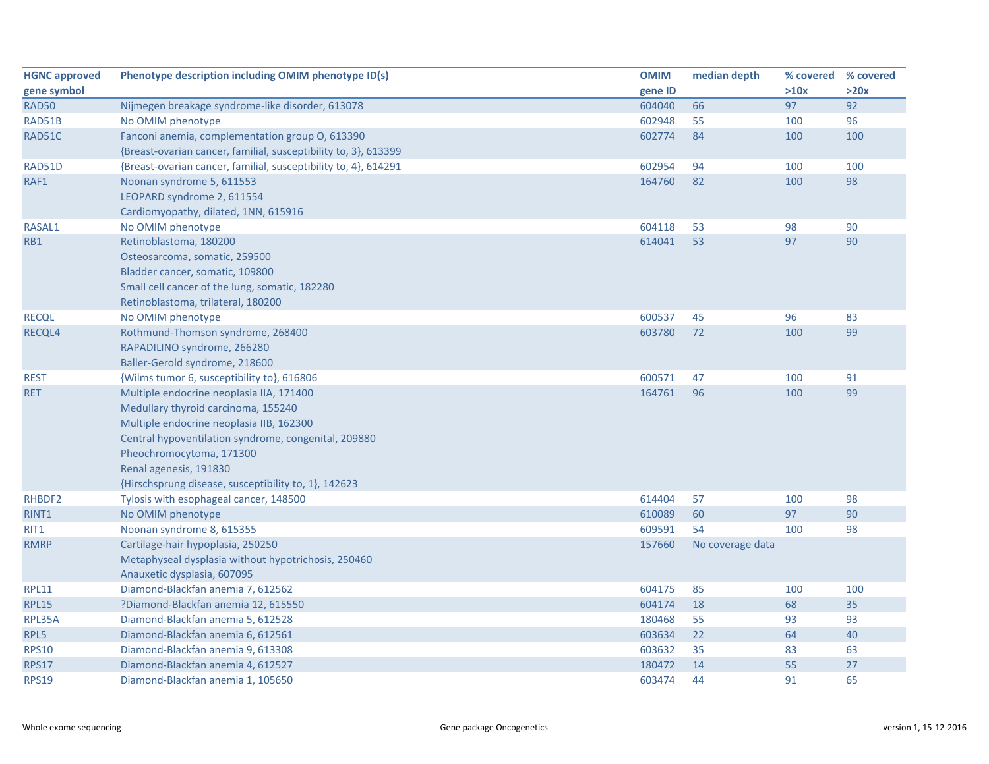| <b>HGNC approved</b> | Phenotype description including OMIM phenotype ID(s)            | <b>OMIM</b> | median depth     | % covered % covered |      |
|----------------------|-----------------------------------------------------------------|-------------|------------------|---------------------|------|
| gene symbol          |                                                                 | gene ID     |                  | >10x                | >20x |
| RAD50                | Nijmegen breakage syndrome-like disorder, 613078                | 604040      | 66               | 97                  | 92   |
| RAD51B               | No OMIM phenotype                                               | 602948      | 55               | 100                 | 96   |
| RAD51C               | Fanconi anemia, complementation group O, 613390                 | 602774      | 84               | 100                 | 100  |
|                      | {Breast-ovarian cancer, familial, susceptibility to, 3}, 613399 |             |                  |                     |      |
| RAD51D               | {Breast-ovarian cancer, familial, susceptibility to, 4}, 614291 | 602954      | 94               | 100                 | 100  |
| RAF1                 | Noonan syndrome 5, 611553                                       | 164760      | 82               | 100                 | 98   |
|                      | LEOPARD syndrome 2, 611554                                      |             |                  |                     |      |
|                      | Cardiomyopathy, dilated, 1NN, 615916                            |             |                  |                     |      |
| RASAL1               | No OMIM phenotype                                               | 604118      | 53               | 98                  | 90   |
| RB1                  | Retinoblastoma, 180200                                          | 614041      | 53               | 97                  | 90   |
|                      | Osteosarcoma, somatic, 259500                                   |             |                  |                     |      |
|                      | Bladder cancer, somatic, 109800                                 |             |                  |                     |      |
|                      | Small cell cancer of the lung, somatic, 182280                  |             |                  |                     |      |
|                      | Retinoblastoma, trilateral, 180200                              |             |                  |                     |      |
| <b>RECQL</b>         | No OMIM phenotype                                               | 600537      | 45               | 96                  | 83   |
| RECQL4               | Rothmund-Thomson syndrome, 268400                               | 603780      | 72               | 100                 | 99   |
|                      | RAPADILINO syndrome, 266280                                     |             |                  |                     |      |
|                      | Baller-Gerold syndrome, 218600                                  |             |                  |                     |      |
| <b>REST</b>          | {Wilms tumor 6, susceptibility to}, 616806                      | 600571      | 47               | 100                 | 91   |
| <b>RET</b>           | Multiple endocrine neoplasia IIA, 171400                        | 164761      | 96               | 100                 | 99   |
|                      | Medullary thyroid carcinoma, 155240                             |             |                  |                     |      |
|                      | Multiple endocrine neoplasia IIB, 162300                        |             |                  |                     |      |
|                      | Central hypoventilation syndrome, congenital, 209880            |             |                  |                     |      |
|                      | Pheochromocytoma, 171300                                        |             |                  |                     |      |
|                      | Renal agenesis, 191830                                          |             |                  |                     |      |
|                      | {Hirschsprung disease, susceptibility to, 1}, 142623            |             |                  |                     |      |
| RHBDF2               | Tylosis with esophageal cancer, 148500                          | 614404      | 57               | 100                 | 98   |
| RINT1                | No OMIM phenotype                                               | 610089      | 60               | 97                  | 90   |
| RIT1                 | Noonan syndrome 8, 615355                                       | 609591      | 54               | 100                 | 98   |
| <b>RMRP</b>          | Cartilage-hair hypoplasia, 250250                               | 157660      | No coverage data |                     |      |
|                      | Metaphyseal dysplasia without hypotrichosis, 250460             |             |                  |                     |      |
|                      | Anauxetic dysplasia, 607095                                     |             |                  |                     |      |
| <b>RPL11</b>         | Diamond-Blackfan anemia 7, 612562                               | 604175      | 85               | 100                 | 100  |
| <b>RPL15</b>         | ?Diamond-Blackfan anemia 12, 615550                             | 604174      | 18               | 68                  | 35   |
| RPL35A               | Diamond-Blackfan anemia 5, 612528                               | 180468      | 55               | 93                  | 93   |
| RPL5                 | Diamond-Blackfan anemia 6, 612561                               | 603634      | 22               | 64                  | 40   |
| <b>RPS10</b>         | Diamond-Blackfan anemia 9, 613308                               | 603632      | 35               | 83                  | 63   |
| <b>RPS17</b>         | Diamond-Blackfan anemia 4, 612527                               | 180472      | 14               | 55                  | 27   |
| <b>RPS19</b>         | Diamond-Blackfan anemia 1, 105650                               | 603474      | 44               | 91                  | 65   |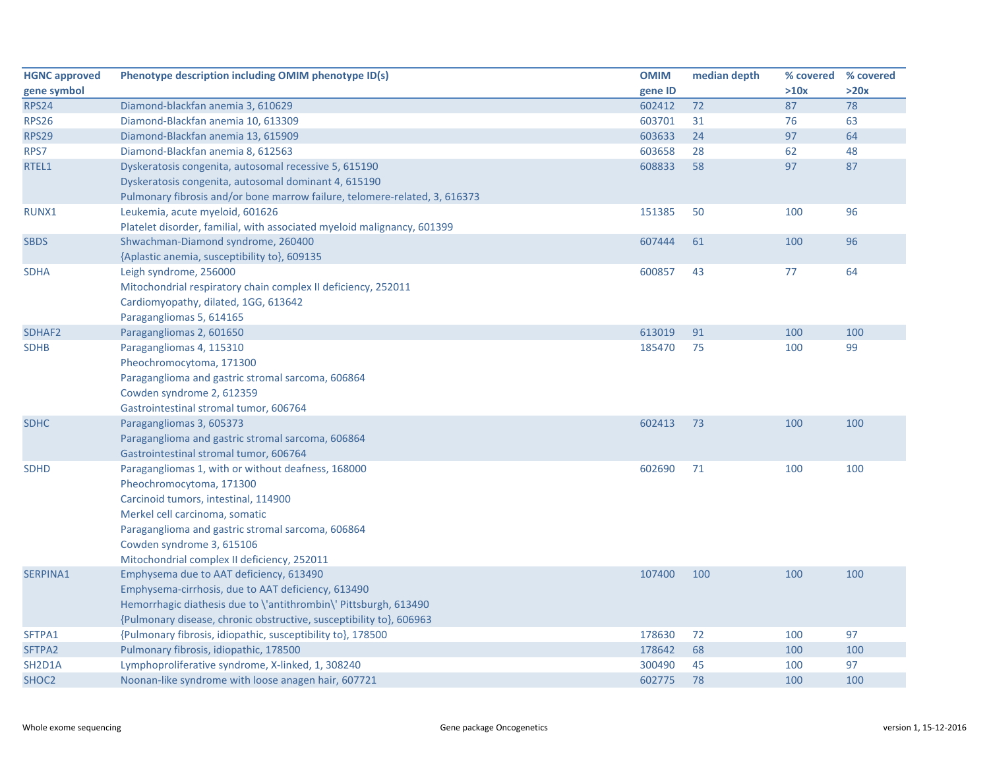| <b>HGNC approved</b> | Phenotype description including OMIM phenotype ID(s)                       | <b>OMIM</b> | median depth | % covered | % covered |
|----------------------|----------------------------------------------------------------------------|-------------|--------------|-----------|-----------|
| gene symbol          |                                                                            | gene ID     |              | >10x      | >20x      |
| <b>RPS24</b>         | Diamond-blackfan anemia 3, 610629                                          | 602412      | 72           | 87        | 78        |
| <b>RPS26</b>         | Diamond-Blackfan anemia 10, 613309                                         | 603701      | 31           | 76        | 63        |
| <b>RPS29</b>         | Diamond-Blackfan anemia 13, 615909                                         | 603633      | 24           | 97        | 64        |
| RPS7                 | Diamond-Blackfan anemia 8, 612563                                          | 603658      | 28           | 62        | 48        |
| RTEL1                | Dyskeratosis congenita, autosomal recessive 5, 615190                      | 608833      | 58           | 97        | 87        |
|                      | Dyskeratosis congenita, autosomal dominant 4, 615190                       |             |              |           |           |
|                      | Pulmonary fibrosis and/or bone marrow failure, telomere-related, 3, 616373 |             |              |           |           |
| RUNX1                | Leukemia, acute myeloid, 601626                                            | 151385      | 50           | 100       | 96        |
|                      | Platelet disorder, familial, with associated myeloid malignancy, 601399    |             |              |           |           |
| <b>SBDS</b>          | Shwachman-Diamond syndrome, 260400                                         | 607444      | 61           | 100       | 96        |
|                      | {Aplastic anemia, susceptibility to}, 609135                               |             |              |           |           |
| <b>SDHA</b>          | Leigh syndrome, 256000                                                     | 600857      | 43           | 77        | 64        |
|                      | Mitochondrial respiratory chain complex II deficiency, 252011              |             |              |           |           |
|                      | Cardiomyopathy, dilated, 1GG, 613642                                       |             |              |           |           |
|                      | Paragangliomas 5, 614165                                                   |             |              |           |           |
| SDHAF <sub>2</sub>   | Paragangliomas 2, 601650                                                   | 613019      | 91           | 100       | 100       |
| <b>SDHB</b>          | Paragangliomas 4, 115310                                                   | 185470      | 75           | 100       | 99        |
|                      | Pheochromocytoma, 171300                                                   |             |              |           |           |
|                      | Paraganglioma and gastric stromal sarcoma, 606864                          |             |              |           |           |
|                      | Cowden syndrome 2, 612359                                                  |             |              |           |           |
|                      | Gastrointestinal stromal tumor, 606764                                     |             |              |           |           |
| <b>SDHC</b>          | Paragangliomas 3, 605373                                                   | 602413      | 73           | 100       | 100       |
|                      | Paraganglioma and gastric stromal sarcoma, 606864                          |             |              |           |           |
|                      | Gastrointestinal stromal tumor, 606764                                     |             |              |           |           |
| <b>SDHD</b>          | Paragangliomas 1, with or without deafness, 168000                         | 602690      | 71           | 100       | 100       |
|                      | Pheochromocytoma, 171300                                                   |             |              |           |           |
|                      | Carcinoid tumors, intestinal, 114900                                       |             |              |           |           |
|                      | Merkel cell carcinoma, somatic                                             |             |              |           |           |
|                      | Paraganglioma and gastric stromal sarcoma, 606864                          |             |              |           |           |
|                      | Cowden syndrome 3, 615106                                                  |             |              |           |           |
|                      | Mitochondrial complex II deficiency, 252011                                |             |              |           |           |
| SERPINA1             | Emphysema due to AAT deficiency, 613490                                    | 107400      | 100          | 100       | 100       |
|                      | Emphysema-cirrhosis, due to AAT deficiency, 613490                         |             |              |           |           |
|                      | Hemorrhagic diathesis due to \'antithrombin\' Pittsburgh, 613490           |             |              |           |           |
|                      | {Pulmonary disease, chronic obstructive, susceptibility to}, 606963        |             |              |           |           |
| SFTPA1               | {Pulmonary fibrosis, idiopathic, susceptibility to}, 178500                | 178630      | 72           | 100       | 97        |
| SFTPA2               | Pulmonary fibrosis, idiopathic, 178500                                     | 178642      | 68           | 100       | 100       |
| SH2D1A               | Lymphoproliferative syndrome, X-linked, 1, 308240                          | 300490      | 45           | 100       | 97        |
| SHOC <sub>2</sub>    | Noonan-like syndrome with loose anagen hair, 607721                        | 602775      | 78           | 100       | 100       |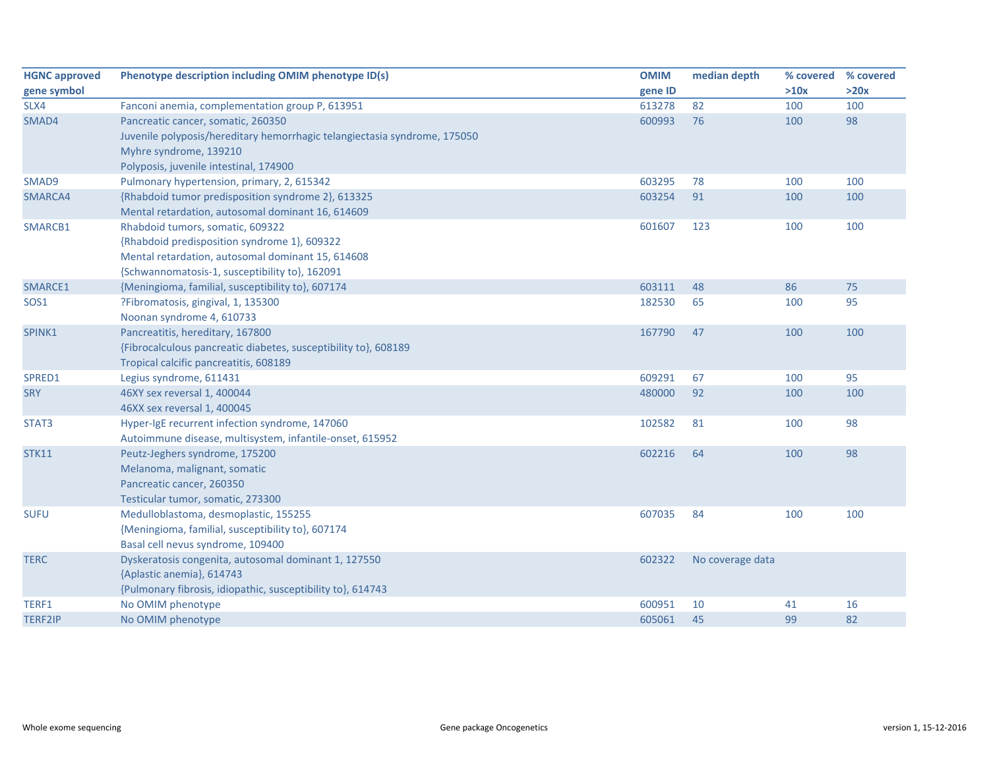| <b>HGNC approved</b> | Phenotype description including OMIM phenotype ID(s)                      | <b>OMIM</b> | median depth     | % covered | % covered |
|----------------------|---------------------------------------------------------------------------|-------------|------------------|-----------|-----------|
| gene symbol          |                                                                           | gene ID     |                  | >10x      | >20x      |
| SLX4                 | Fanconi anemia, complementation group P, 613951                           | 613278      | 82               | 100       | 100       |
| SMAD4                | Pancreatic cancer, somatic, 260350                                        | 600993      | 76               | 100       | 98        |
|                      | Juvenile polyposis/hereditary hemorrhagic telangiectasia syndrome, 175050 |             |                  |           |           |
|                      | Myhre syndrome, 139210                                                    |             |                  |           |           |
|                      | Polyposis, juvenile intestinal, 174900                                    |             |                  |           |           |
| SMAD9                | Pulmonary hypertension, primary, 2, 615342                                | 603295      | 78               | 100       | 100       |
| SMARCA4              | {Rhabdoid tumor predisposition syndrome 2}, 613325                        | 603254      | 91               | 100       | 100       |
|                      | Mental retardation, autosomal dominant 16, 614609                         |             |                  |           |           |
| SMARCB1              | Rhabdoid tumors, somatic, 609322                                          | 601607      | 123              | 100       | 100       |
|                      | {Rhabdoid predisposition syndrome 1}, 609322                              |             |                  |           |           |
|                      | Mental retardation, autosomal dominant 15, 614608                         |             |                  |           |           |
|                      | {Schwannomatosis-1, susceptibility to}, 162091                            |             |                  |           |           |
| SMARCE1              | {Meningioma, familial, susceptibility to}, 607174                         | 603111      | 48               | 86        | 75        |
| SOS <sub>1</sub>     | ?Fibromatosis, gingival, 1, 135300                                        | 182530      | 65               | 100       | 95        |
|                      | Noonan syndrome 4, 610733                                                 |             |                  |           |           |
| SPINK1               | Pancreatitis, hereditary, 167800                                          | 167790      | 47               | 100       | 100       |
|                      | {Fibrocalculous pancreatic diabetes, susceptibility to}, 608189           |             |                  |           |           |
|                      | Tropical calcific pancreatitis, 608189                                    |             |                  |           |           |
| SPRED1               | Legius syndrome, 611431                                                   | 609291      | 67               | 100       | 95        |
| <b>SRY</b>           | 46XY sex reversal 1, 400044                                               | 480000      | 92               | 100       | 100       |
|                      | 46XX sex reversal 1, 400045                                               |             |                  |           |           |
| STAT3                | Hyper-IgE recurrent infection syndrome, 147060                            | 102582      | 81               | 100       | 98        |
|                      | Autoimmune disease, multisystem, infantile-onset, 615952                  |             |                  |           |           |
| <b>STK11</b>         | Peutz-Jeghers syndrome, 175200                                            | 602216      | 64               | 100       | 98        |
|                      | Melanoma, malignant, somatic                                              |             |                  |           |           |
|                      | Pancreatic cancer, 260350                                                 |             |                  |           |           |
|                      | Testicular tumor, somatic, 273300                                         |             |                  |           |           |
| <b>SUFU</b>          | Medulloblastoma, desmoplastic, 155255                                     | 607035      | 84               | 100       | 100       |
|                      | {Meningioma, familial, susceptibility to}, 607174                         |             |                  |           |           |
|                      | Basal cell nevus syndrome, 109400                                         |             |                  |           |           |
| <b>TERC</b>          | Dyskeratosis congenita, autosomal dominant 1, 127550                      | 602322      | No coverage data |           |           |
|                      | {Aplastic anemia}, 614743                                                 |             |                  |           |           |
|                      | {Pulmonary fibrosis, idiopathic, susceptibility to}, 614743               |             |                  |           |           |
| TERF1                | No OMIM phenotype                                                         | 600951      | 10               | 41        | 16        |
| <b>TERF2IP</b>       | No OMIM phenotype                                                         | 605061      | 45               | 99        | 82        |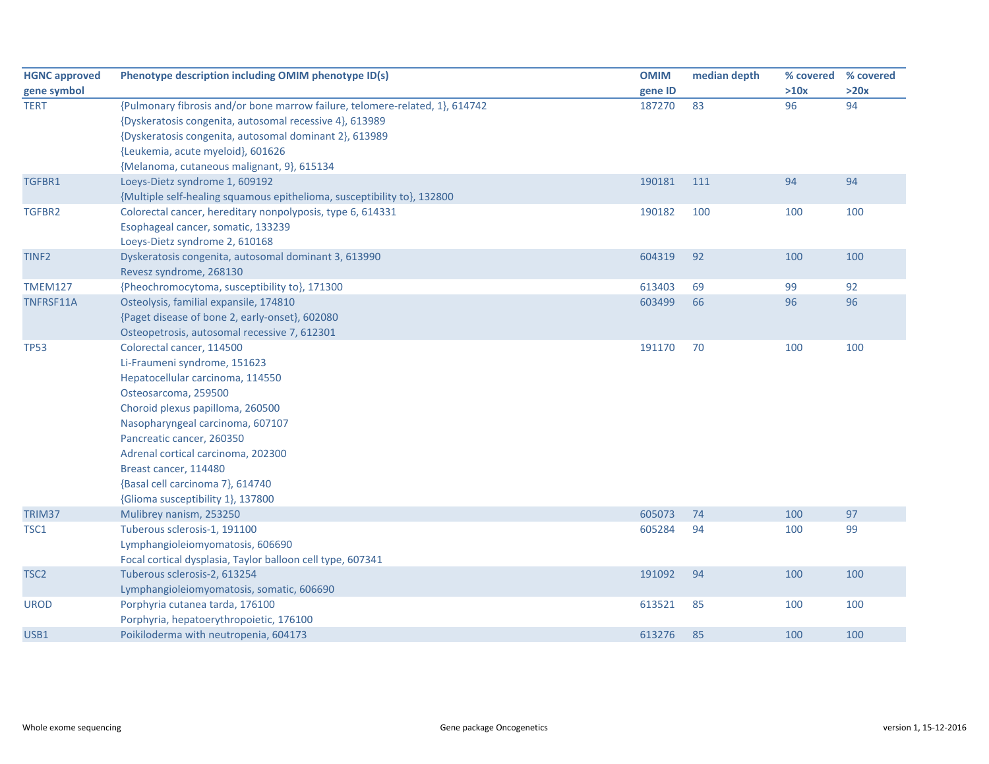| <b>HGNC approved</b> | Phenotype description including OMIM phenotype ID(s)                         | <b>OMIM</b> | median depth | % covered | % covered |
|----------------------|------------------------------------------------------------------------------|-------------|--------------|-----------|-----------|
| gene symbol          |                                                                              | gene ID     |              | >10x      | >20x      |
| <b>TERT</b>          | {Pulmonary fibrosis and/or bone marrow failure, telomere-related, 1}, 614742 | 187270      | 83           | 96        | 94        |
|                      | {Dyskeratosis congenita, autosomal recessive 4}, 613989                      |             |              |           |           |
|                      | {Dyskeratosis congenita, autosomal dominant 2}, 613989                       |             |              |           |           |
|                      | {Leukemia, acute myeloid}, 601626                                            |             |              |           |           |
|                      | {Melanoma, cutaneous malignant, 9}, 615134                                   |             |              |           |           |
| TGFBR1               | Loeys-Dietz syndrome 1, 609192                                               | 190181      | 111          | 94        | 94        |
|                      | {Multiple self-healing squamous epithelioma, susceptibility to}, 132800      |             |              |           |           |
| TGFBR2               | Colorectal cancer, hereditary nonpolyposis, type 6, 614331                   | 190182      | 100          | 100       | 100       |
|                      | Esophageal cancer, somatic, 133239                                           |             |              |           |           |
|                      | Loeys-Dietz syndrome 2, 610168                                               |             |              |           |           |
| TINF <sub>2</sub>    | Dyskeratosis congenita, autosomal dominant 3, 613990                         | 604319      | 92           | 100       | 100       |
|                      | Revesz syndrome, 268130                                                      |             |              |           |           |
| <b>TMEM127</b>       | {Pheochromocytoma, susceptibility to}, 171300                                | 613403      | 69           | 99        | 92        |
| TNFRSF11A            | Osteolysis, familial expansile, 174810                                       | 603499      | 66           | 96        | 96        |
|                      | {Paget disease of bone 2, early-onset}, 602080                               |             |              |           |           |
|                      | Osteopetrosis, autosomal recessive 7, 612301                                 |             |              |           |           |
| <b>TP53</b>          | Colorectal cancer, 114500                                                    | 191170      | 70           | 100       | 100       |
|                      | Li-Fraumeni syndrome, 151623                                                 |             |              |           |           |
|                      | Hepatocellular carcinoma, 114550                                             |             |              |           |           |
|                      | Osteosarcoma, 259500                                                         |             |              |           |           |
|                      | Choroid plexus papilloma, 260500                                             |             |              |           |           |
|                      | Nasopharyngeal carcinoma, 607107                                             |             |              |           |           |
|                      | Pancreatic cancer, 260350                                                    |             |              |           |           |
|                      | Adrenal cortical carcinoma, 202300                                           |             |              |           |           |
|                      | Breast cancer, 114480                                                        |             |              |           |           |
|                      | {Basal cell carcinoma 7}, 614740                                             |             |              |           |           |
|                      | {Glioma susceptibility 1}, 137800                                            |             |              |           |           |
| TRIM37               | Mulibrey nanism, 253250                                                      | 605073      | 74           | 100       | 97        |
| TSC1                 | Tuberous sclerosis-1, 191100                                                 | 605284      | 94           | 100       | 99        |
|                      | Lymphangioleiomyomatosis, 606690                                             |             |              |           |           |
|                      | Focal cortical dysplasia, Taylor balloon cell type, 607341                   |             |              |           |           |
| TSC <sub>2</sub>     | Tuberous sclerosis-2, 613254                                                 | 191092      | 94           | 100       | 100       |
|                      | Lymphangioleiomyomatosis, somatic, 606690                                    |             |              |           |           |
| <b>UROD</b>          | Porphyria cutanea tarda, 176100                                              | 613521      | 85           | 100       | 100       |
|                      | Porphyria, hepatoerythropoietic, 176100                                      |             |              |           |           |
| USB1                 | Poikiloderma with neutropenia, 604173                                        | 613276      | 85           | 100       | 100       |